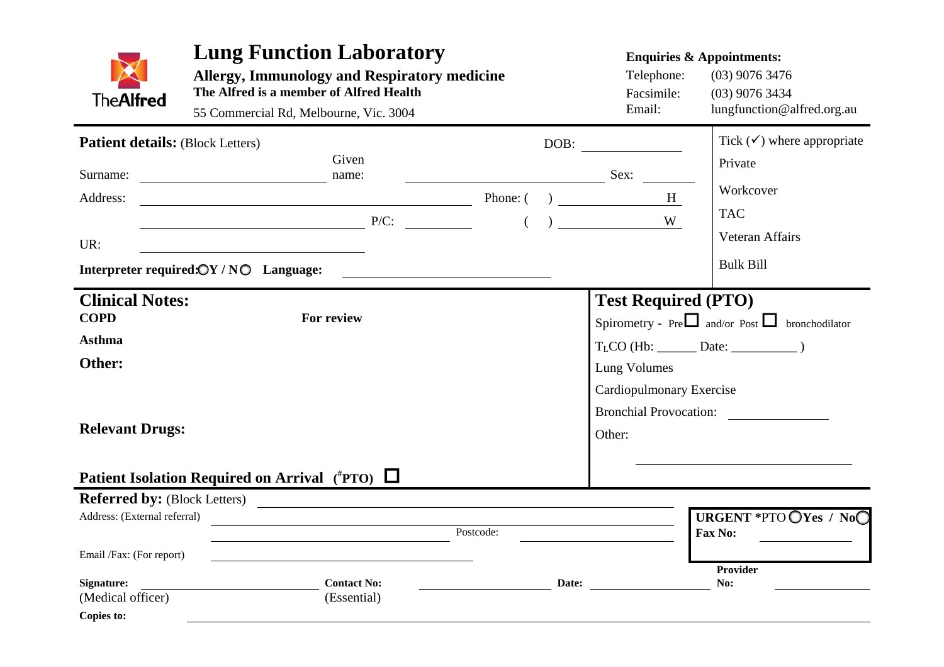| <b>TheAlfred</b>                                                          | <b>Lung Function Laboratory</b><br><b>Allergy, Immunology and Respiratory medicine</b><br>The Alfred is a member of Alfred Health<br>55 Commercial Rd, Melbourne, Vic. 3004 |                                                                                                                       | <b>Enquiries &amp; Appointments:</b><br>Telephone:<br>$(03)$ 9076 3476<br>Facsimile:<br>$(03)$ 9076 3434<br>Email:<br>lungfunction@alfred.org.au |                                                                                         |                                       |
|---------------------------------------------------------------------------|-----------------------------------------------------------------------------------------------------------------------------------------------------------------------------|-----------------------------------------------------------------------------------------------------------------------|--------------------------------------------------------------------------------------------------------------------------------------------------|-----------------------------------------------------------------------------------------|---------------------------------------|
| <b>Patient details:</b> (Block Letters)                                   |                                                                                                                                                                             |                                                                                                                       |                                                                                                                                                  |                                                                                         | Tick $(\checkmark)$ where appropriate |
| Surname:                                                                  | Given<br>name:<br><u> 1990 - Johann Barbara, martin a</u>                                                                                                                   |                                                                                                                       |                                                                                                                                                  | Sex:                                                                                    | Private                               |
| Address:                                                                  | $Phone: ( )$ $H$                                                                                                                                                            |                                                                                                                       |                                                                                                                                                  |                                                                                         | Workcover                             |
|                                                                           |                                                                                                                                                                             |                                                                                                                       |                                                                                                                                                  | W                                                                                       | <b>TAC</b>                            |
| UR:                                                                       |                                                                                                                                                                             |                                                                                                                       |                                                                                                                                                  |                                                                                         | Veteran Affairs                       |
|                                                                           | Interpreter required: $\mathbb{O}Y/N\mathbb{O}$ Language:                                                                                                                   | <u> 1989 - Johann Harry Harry Harry Harry Harry Harry Harry Harry Harry Harry Harry Harry Harry Harry Harry Harry</u> |                                                                                                                                                  |                                                                                         | <b>Bulk Bill</b>                      |
| <b>Clinical Notes:</b><br><b>COPD</b><br>For review                       |                                                                                                                                                                             |                                                                                                                       |                                                                                                                                                  | <b>Test Required (PTO)</b><br>Spirometry - Pre $\Box$ and/or Post $\Box$ bronchodilator |                                       |
| <b>Asthma</b>                                                             |                                                                                                                                                                             |                                                                                                                       |                                                                                                                                                  |                                                                                         |                                       |
| Other:                                                                    |                                                                                                                                                                             |                                                                                                                       | Lung Volumes                                                                                                                                     |                                                                                         |                                       |
| <b>Relevant Drugs:</b>                                                    | Patient Isolation Required on Arrival $({}^{\#}PTO)$ $\Box$                                                                                                                 |                                                                                                                       |                                                                                                                                                  | Cardiopulmonary Exercise<br>Other:                                                      | Bronchial Provocation:                |
|                                                                           |                                                                                                                                                                             |                                                                                                                       |                                                                                                                                                  |                                                                                         |                                       |
| Referred by: (Block Letters)<br>Address: (External referral)<br>Postcode: |                                                                                                                                                                             |                                                                                                                       |                                                                                                                                                  | URGENT *PTO OYes / NoO<br><b>Fax No:</b>                                                |                                       |
| Email /Fax: (For report)                                                  |                                                                                                                                                                             |                                                                                                                       |                                                                                                                                                  |                                                                                         |                                       |
| Signature:<br>(Medical officer)                                           | <b>Contact No:</b><br>(Essential)                                                                                                                                           |                                                                                                                       | Date:                                                                                                                                            |                                                                                         | <b>Provider</b><br>No:                |